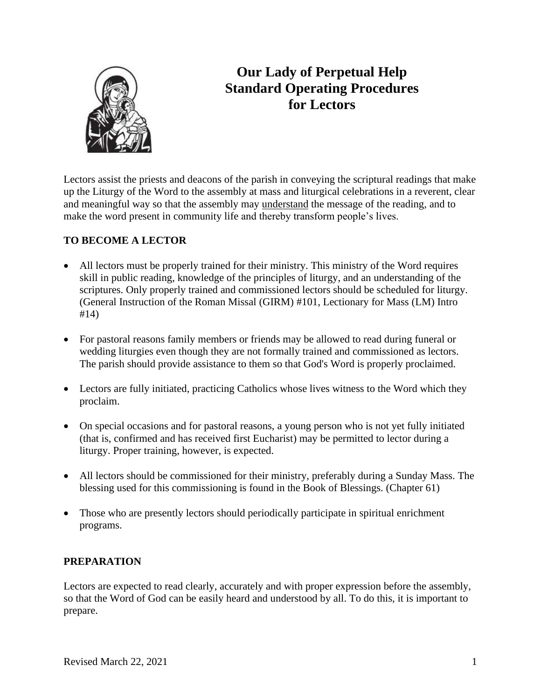

# **Our Lady of Perpetual Help Standard Operating Procedures for Lectors**

Lectors assist the priests and deacons of the parish in conveying the scriptural readings that make up the Liturgy of the Word to the assembly at mass and liturgical celebrations in a reverent, clear and meaningful way so that the assembly may understand the message of the reading, and to make the word present in community life and thereby transform people's lives.

## **TO BECOME A LECTOR**

- All lectors must be properly trained for their ministry. This ministry of the Word requires skill in public reading, knowledge of the principles of liturgy, and an understanding of the scriptures. Only properly trained and commissioned lectors should be scheduled for liturgy. (General Instruction of the Roman Missal (GIRM) #101, Lectionary for Mass (LM) Intro #14)
- For pastoral reasons family members or friends may be allowed to read during funeral or wedding liturgies even though they are not formally trained and commissioned as lectors. The parish should provide assistance to them so that God's Word is properly proclaimed.
- Lectors are fully initiated, practicing Catholics whose lives witness to the Word which they proclaim.
- On special occasions and for pastoral reasons, a young person who is not yet fully initiated (that is, confirmed and has received first Eucharist) may be permitted to lector during a liturgy. Proper training, however, is expected.
- All lectors should be commissioned for their ministry, preferably during a Sunday Mass. The blessing used for this commissioning is found in the Book of Blessings. (Chapter 61)
- Those who are presently lectors should periodically participate in spiritual enrichment programs.

## **PREPARATION**

Lectors are expected to read clearly, accurately and with proper expression before the assembly, so that the Word of God can be easily heard and understood by all. To do this, it is important to prepare.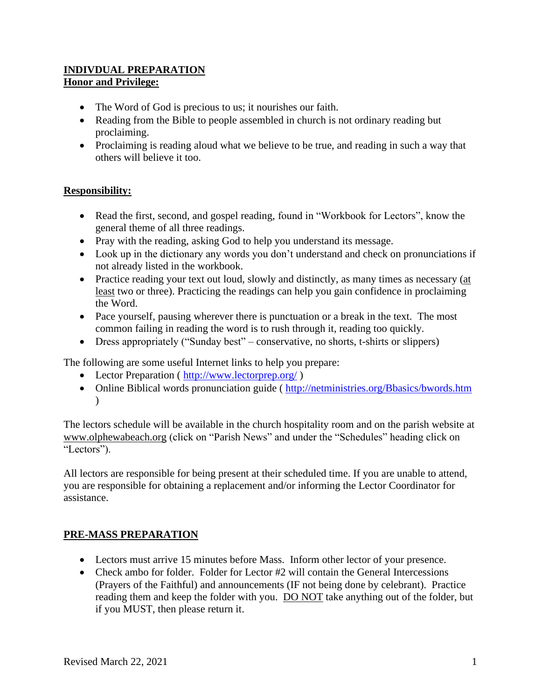## **INDIVDUAL PREPARATION Honor and Privilege:**

- The Word of God is precious to us; it nourishes our faith.
- Reading from the Bible to people assembled in church is not ordinary reading but proclaiming.
- Proclaiming is reading aloud what we believe to be true, and reading in such a way that others will believe it too.

## **Responsibility:**

- Read the first, second, and gospel reading, found in "Workbook for Lectors", know the general theme of all three readings.
- Pray with the reading, asking God to help you understand its message.
- Look up in the dictionary any words you don't understand and check on pronunciations if not already listed in the workbook.
- Practice reading your text out loud, slowly and distinctly, as many times as necessary (at least two or three). Practicing the readings can help you gain confidence in proclaiming the Word.
- Pace yourself, pausing wherever there is punctuation or a break in the text. The most common failing in reading the word is to rush through it, reading too quickly.
- Dress appropriately ("Sunday best" conservative, no shorts, t-shirts or slippers)

The following are some useful Internet links to help you prepare:

- Lector Preparation ( [http://www.lectorprep.org/](about:blank) )
- Online Biblical words pronunciation guide ( [http://netministries.org/Bbasics/bwords.htm](about:blank)  $\lambda$

The lectors schedule will be available in the church hospitality room and on the parish website at [www.olphewabeach.org](about:blank) (click on "Parish News" and under the "Schedules" heading click on "Lectors").

All lectors are responsible for being present at their scheduled time. If you are unable to attend, you are responsible for obtaining a replacement and/or informing the Lector Coordinator for assistance.

## **PRE-MASS PREPARATION**

- Lectors must arrive 15 minutes before Mass. Inform other lector of your presence.
- Check ambo for folder. Folder for Lector #2 will contain the General Intercessions (Prayers of the Faithful) and announcements (IF not being done by celebrant). Practice reading them and keep the folder with you. DO NOT take anything out of the folder, but if you MUST, then please return it.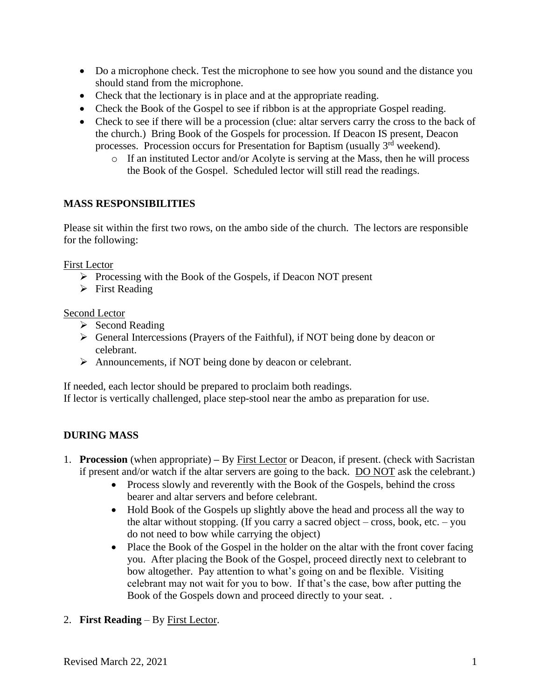- Do a microphone check. Test the microphone to see how you sound and the distance you should stand from the microphone.
- Check that the lectionary is in place and at the appropriate reading.
- Check the Book of the Gospel to see if ribbon is at the appropriate Gospel reading.
- Check to see if there will be a procession (clue: altar servers carry the cross to the back of the church.) Bring Book of the Gospels for procession. If Deacon IS present, Deacon processes. Procession occurs for Presentation for Baptism (usually 3rd weekend).
	- o If an instituted Lector and/or Acolyte is serving at the Mass, then he will process the Book of the Gospel. Scheduled lector will still read the readings.

## **MASS RESPONSIBILITIES**

Please sit within the first two rows, on the ambo side of the church. The lectors are responsible for the following:

First Lector

- ➢ Processing with the Book of the Gospels, if Deacon NOT present
- ➢ First Reading

## Second Lector

- ➢ Second Reading
- ➢ General Intercessions (Prayers of the Faithful), if NOT being done by deacon or celebrant.
- ➢ Announcements, if NOT being done by deacon or celebrant.

If needed, each lector should be prepared to proclaim both readings. If lector is vertically challenged, place step-stool near the ambo as preparation for use.

## **DURING MASS**

- 1. **Procession** (when appropriate) **–** By First Lector or Deacon, if present. (check with Sacristan if present and/or watch if the altar servers are going to the back. DO NOT ask the celebrant.)
	- Process slowly and reverently with the Book of the Gospels, behind the cross bearer and altar servers and before celebrant.
	- Hold Book of the Gospels up slightly above the head and process all the way to the altar without stopping. (If you carry a sacred object – cross, book, etc. – you do not need to bow while carrying the object)
	- Place the Book of the Gospel in the holder on the altar with the front cover facing you. After placing the Book of the Gospel, proceed directly next to celebrant to bow altogether. Pay attention to what's going on and be flexible. Visiting celebrant may not wait for you to bow. If that's the case, bow after putting the Book of the Gospels down and proceed directly to your seat. .
- 2. **First Reading**  By First Lector.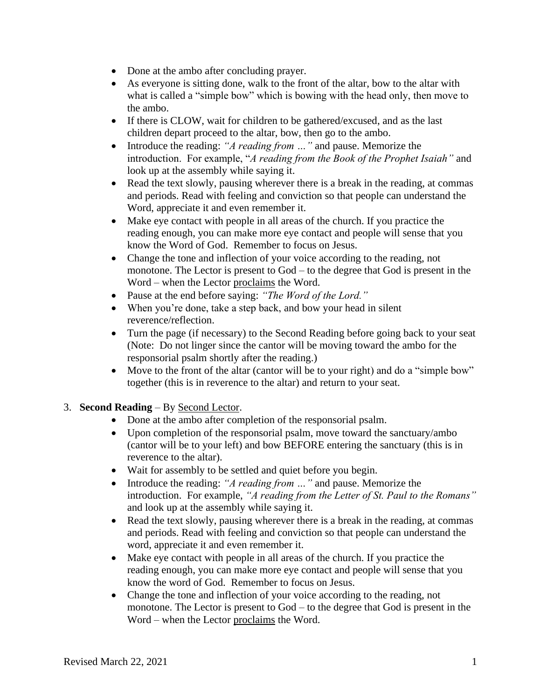- Done at the ambo after concluding prayer.
- As everyone is sitting done, walk to the front of the altar, bow to the altar with what is called a "simple bow" which is bowing with the head only, then move to the ambo.
- If there is CLOW, wait for children to be gathered/excused, and as the last children depart proceed to the altar, bow, then go to the ambo.
- Introduce the reading: "*A reading from ...*" and pause. Memorize the introduction. For example, "*A reading from the Book of the Prophet Isaiah"* and look up at the assembly while saying it.
- Read the text slowly, pausing wherever there is a break in the reading, at commas and periods. Read with feeling and conviction so that people can understand the Word, appreciate it and even remember it.
- Make eye contact with people in all areas of the church. If you practice the reading enough, you can make more eye contact and people will sense that you know the Word of God. Remember to focus on Jesus.
- Change the tone and inflection of your voice according to the reading, not monotone. The Lector is present to God – to the degree that God is present in the Word – when the Lector proclaims the Word.
- Pause at the end before saying: *"The Word of the Lord."*
- When you're done, take a step back, and bow your head in silent reverence/reflection.
- Turn the page (if necessary) to the Second Reading before going back to your seat (Note: Do not linger since the cantor will be moving toward the ambo for the responsorial psalm shortly after the reading.)
- Move to the front of the altar (cantor will be to your right) and do a "simple bow" together (this is in reverence to the altar) and return to your seat.

## 3. **Second Reading** – By Second Lector.

- Done at the ambo after completion of the responsorial psalm.
- Upon completion of the responsorial psalm, move toward the sanctuary/ambo (cantor will be to your left) and bow BEFORE entering the sanctuary (this is in reverence to the altar).
- Wait for assembly to be settled and quiet before you begin.
- Introduce the reading: *"A reading from …"* and pause. Memorize the introduction. For example, *"A reading from the Letter of St. Paul to the Romans"* and look up at the assembly while saying it.
- Read the text slowly, pausing wherever there is a break in the reading, at commas and periods. Read with feeling and conviction so that people can understand the word, appreciate it and even remember it.
- Make eye contact with people in all areas of the church. If you practice the reading enough, you can make more eye contact and people will sense that you know the word of God. Remember to focus on Jesus.
- Change the tone and inflection of your voice according to the reading, not monotone. The Lector is present to God – to the degree that God is present in the Word – when the Lector proclaims the Word.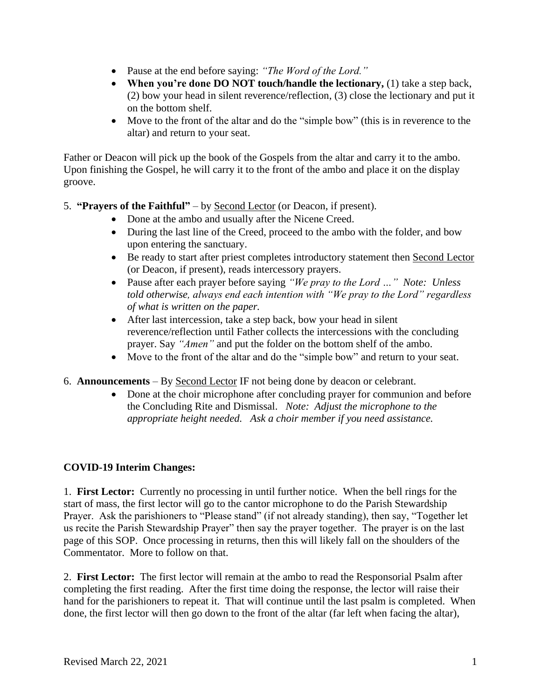- Pause at the end before saying: *"The Word of the Lord."*
- **When you're done DO NOT touch/handle the lectionary,** (1) take a step back, (2) bow your head in silent reverence/reflection, (3) close the lectionary and put it on the bottom shelf.
- Move to the front of the altar and do the "simple bow" (this is in reverence to the altar) and return to your seat.

Father or Deacon will pick up the book of the Gospels from the altar and carry it to the ambo. Upon finishing the Gospel, he will carry it to the front of the ambo and place it on the display groove.

5. **"Prayers of the Faithful"** – by Second Lector (or Deacon, if present).

- Done at the ambo and usually after the Nicene Creed.
- During the last line of the Creed, proceed to the ambo with the folder, and bow upon entering the sanctuary.
- Be ready to start after priest completes introductory statement then Second Lector (or Deacon, if present), reads intercessory prayers.
- Pause after each prayer before saying *"We pray to the Lord …" Note: Unless told otherwise, always end each intention with "We pray to the Lord" regardless of what is written on the paper.*
- After last intercession, take a step back, bow your head in silent reverence/reflection until Father collects the intercessions with the concluding prayer. Say *"Amen"* and put the folder on the bottom shelf of the ambo.
- Move to the front of the altar and do the "simple bow" and return to your seat.
- 6. **Announcements**  By Second Lector IF not being done by deacon or celebrant.
	- Done at the choir microphone after concluding prayer for communion and before the Concluding Rite and Dismissal. *Note: Adjust the microphone to the appropriate height needed. Ask a choir member if you need assistance.*

#### **COVID-19 Interim Changes:**

1. **First Lector:** Currently no processing in until further notice. When the bell rings for the start of mass, the first lector will go to the cantor microphone to do the Parish Stewardship Prayer. Ask the parishioners to "Please stand" (if not already standing), then say, "Together let us recite the Parish Stewardship Prayer" then say the prayer together. The prayer is on the last page of this SOP. Once processing in returns, then this will likely fall on the shoulders of the Commentator. More to follow on that.

2. **First Lector:** The first lector will remain at the ambo to read the Responsorial Psalm after completing the first reading. After the first time doing the response, the lector will raise their hand for the parishioners to repeat it. That will continue until the last psalm is completed. When done, the first lector will then go down to the front of the altar (far left when facing the altar),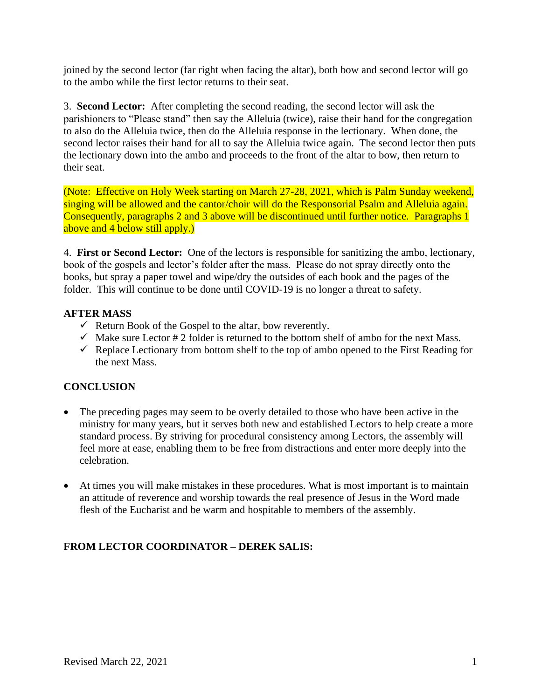joined by the second lector (far right when facing the altar), both bow and second lector will go to the ambo while the first lector returns to their seat.

3. **Second Lector:** After completing the second reading, the second lector will ask the parishioners to "Please stand" then say the Alleluia (twice), raise their hand for the congregation to also do the Alleluia twice, then do the Alleluia response in the lectionary. When done, the second lector raises their hand for all to say the Alleluia twice again. The second lector then puts the lectionary down into the ambo and proceeds to the front of the altar to bow, then return to their seat.

(Note: Effective on Holy Week starting on March 27-28, 2021, which is Palm Sunday weekend, singing will be allowed and the cantor/choir will do the Responsorial Psalm and Alleluia again. Consequently, paragraphs 2 and 3 above will be discontinued until further notice. Paragraphs 1 above and 4 below still apply.)

4. **First or Second Lector:** One of the lectors is responsible for sanitizing the ambo, lectionary, book of the gospels and lector's folder after the mass. Please do not spray directly onto the books, but spray a paper towel and wipe/dry the outsides of each book and the pages of the folder. This will continue to be done until COVID-19 is no longer a threat to safety.

## **AFTER MASS**

- $\checkmark$  Return Book of the Gospel to the altar, bow reverently.
- $\checkmark$  Make sure Lector # 2 folder is returned to the bottom shelf of ambo for the next Mass.
- $\checkmark$  Replace Lectionary from bottom shelf to the top of ambo opened to the First Reading for the next Mass.

## **CONCLUSION**

- The preceding pages may seem to be overly detailed to those who have been active in the ministry for many years, but it serves both new and established Lectors to help create a more standard process. By striving for procedural consistency among Lectors, the assembly will feel more at ease, enabling them to be free from distractions and enter more deeply into the celebration.
- At times you will make mistakes in these procedures. What is most important is to maintain an attitude of reverence and worship towards the real presence of Jesus in the Word made flesh of the Eucharist and be warm and hospitable to members of the assembly.

## **FROM LECTOR COORDINATOR – DEREK SALIS:**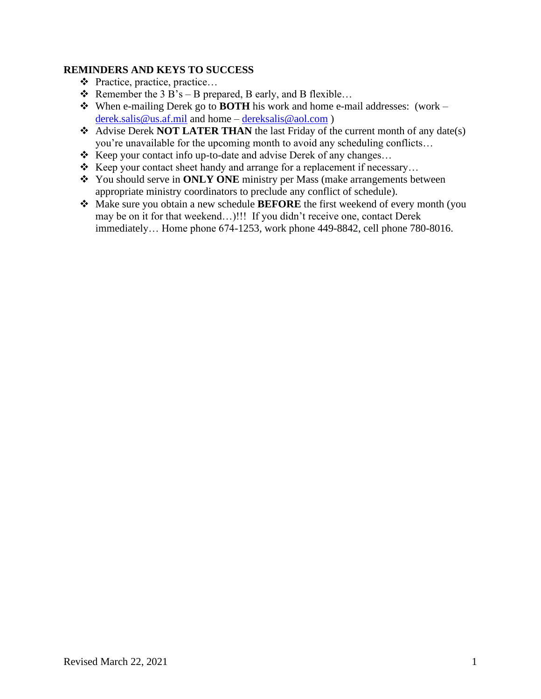#### **REMINDERS AND KEYS TO SUCCESS**

- ❖ Practice, practice, practice…
- $\triangle$  Remember the 3 B's B prepared, B early, and B flexible...
- ❖ When e-mailing Derek go to **BOTH** his work and home e-mail addresses: (work [derek.salis@us.af.mil](about:blank) and home – [dereksalis@aol.com](about:blank) )
- ❖ Advise Derek **NOT LATER THAN** the last Friday of the current month of any date(s) you're unavailable for the upcoming month to avoid any scheduling conflicts…
- ❖ Keep your contact info up-to-date and advise Derek of any changes…
- ❖ Keep your contact sheet handy and arrange for a replacement if necessary…
- ❖ You should serve in **ONLY ONE** ministry per Mass (make arrangements between appropriate ministry coordinators to preclude any conflict of schedule).
- ❖ Make sure you obtain a new schedule **BEFORE** the first weekend of every month (you may be on it for that weekend…)!!! If you didn't receive one, contact Derek immediately… Home phone 674-1253, work phone 449-8842, cell phone 780-8016.